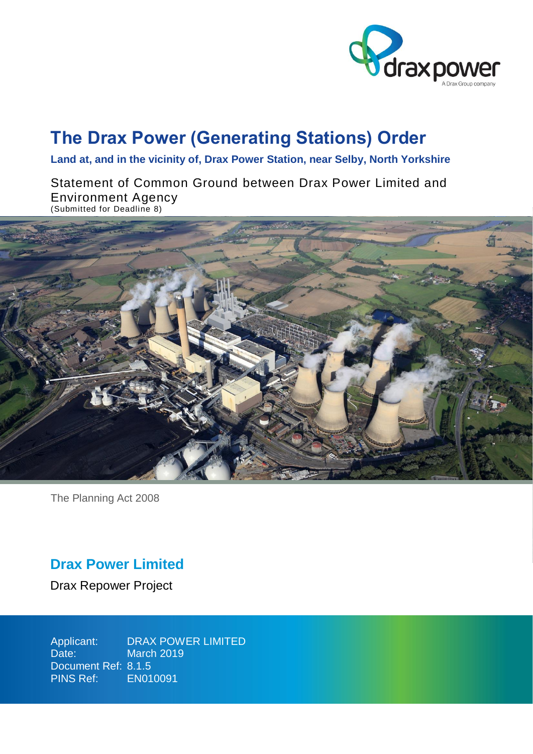

# **The Drax Power (Generating Stations) Order**

**Land at, and in the vicinity of, Drax Power Station, near Selby, North Yorkshire**

Statement of Common Ground between Drax Power Limited and Environment Agency (Submitted for Deadline 8)



The Planning Act 2008

## **Drax Power Limited**

Drax Repower Project

Applicant: Date: Document Ref: 8.1.5 PINS Ref: DRAX POWER LIMITED March 2019 EN010091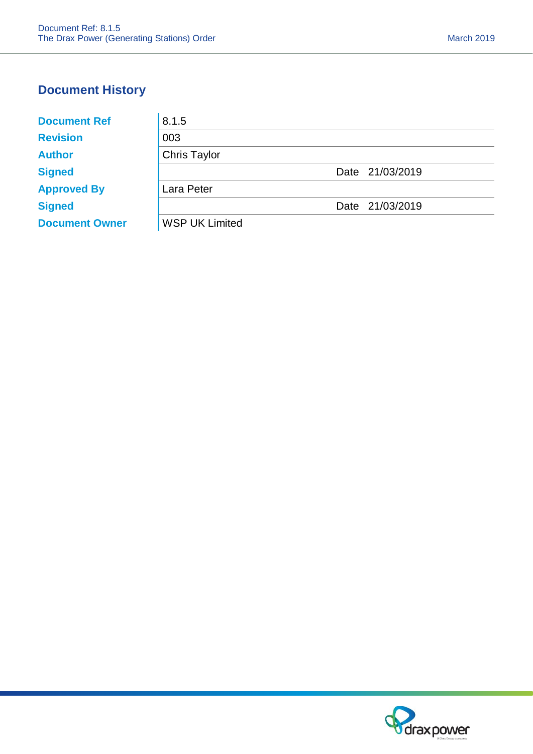# **Document History**

| <b>Document Ref</b>   | 8.1.5                 |                 |
|-----------------------|-----------------------|-----------------|
| <b>Revision</b>       | 003                   |                 |
| <b>Author</b>         | <b>Chris Taylor</b>   |                 |
| <b>Signed</b>         |                       | Date 21/03/2019 |
| <b>Approved By</b>    | Lara Peter            |                 |
| <b>Signed</b>         |                       | Date 21/03/2019 |
| <b>Document Owner</b> | <b>WSP UK Limited</b> |                 |

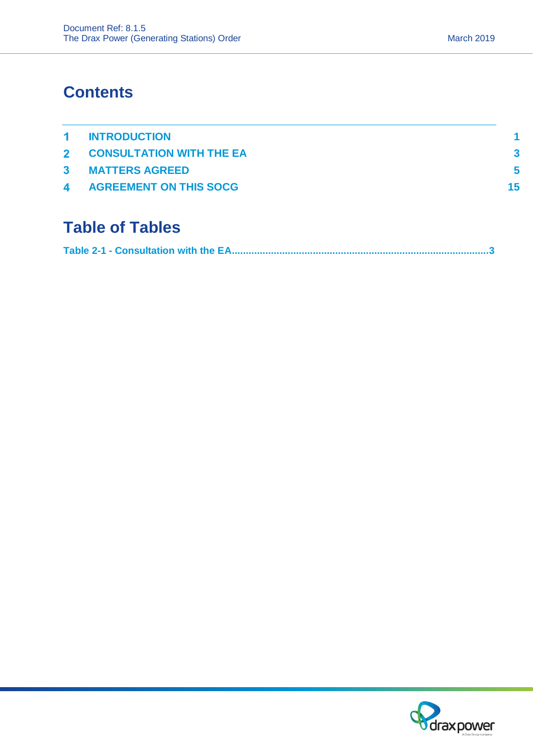# **Contents**

| 1 INTRODUCTION                  |    |
|---------------------------------|----|
| 2 CONSULTATION WITH THE EA      |    |
| <b>3 MATTERS AGREED</b>         | 5  |
| <b>4 AGREEMENT ON THIS SOCG</b> | 15 |
|                                 |    |

# **Table of Tables**

|--|--|

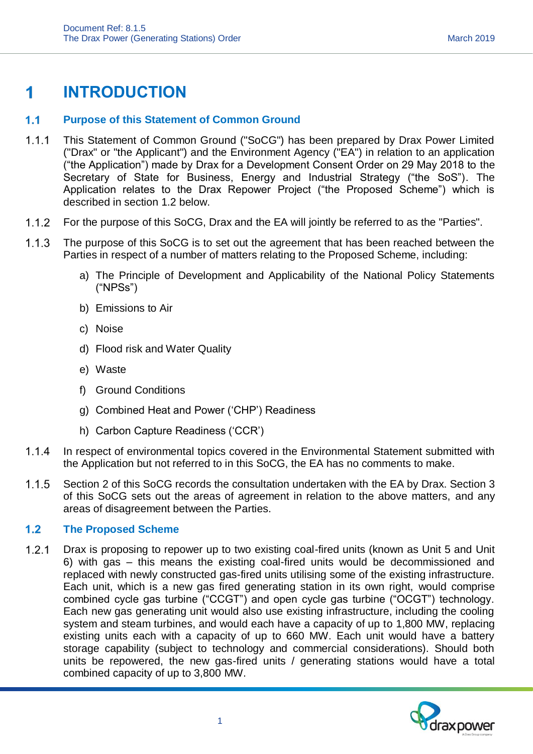#### <span id="page-3-0"></span>**INTRODUCTION** 1

#### $1.1$ **Purpose of this Statement of Common Ground**

- $1.1.1$ This Statement of Common Ground ("SoCG") has been prepared by Drax Power Limited ("Drax" or "the Applicant") and the Environment Agency ("EA") in relation to an application ("the Application") made by Drax for a Development Consent Order on 29 May 2018 to the Secretary of State for Business, Energy and Industrial Strategy ("the SoS"). The Application relates to the Drax Repower Project ("the Proposed Scheme") which is described in section 1.2 below.
- $1.1.2$ For the purpose of this SoCG, Drax and the EA will jointly be referred to as the "Parties".
- $1.1.3$ The purpose of this SoCG is to set out the agreement that has been reached between the Parties in respect of a number of matters relating to the Proposed Scheme, including:
	- a) The Principle of Development and Applicability of the National Policy Statements ("NPSs")
	- b) Emissions to Air
	- c) Noise
	- d) Flood risk and Water Quality
	- e) Waste
	- f) Ground Conditions
	- g) Combined Heat and Power ('CHP') Readiness
	- h) Carbon Capture Readiness ('CCR')
- $1.1.4$ In respect of environmental topics covered in the Environmental Statement submitted with the Application but not referred to in this SoCG, the EA has no comments to make.
- $1.1.5$ Section 2 of this SoCG records the consultation undertaken with the EA by Drax. Section 3 of this SoCG sets out the areas of agreement in relation to the above matters, and any areas of disagreement between the Parties.

#### $1.2$ **The Proposed Scheme**

 $1.2.1$ Drax is proposing to repower up to two existing coal-fired units (known as Unit 5 and Unit 6) with gas – this means the existing coal-fired units would be decommissioned and replaced with newly constructed gas-fired units utilising some of the existing infrastructure. Each unit, which is a new gas fired generating station in its own right, would comprise combined cycle gas turbine ("CCGT") and open cycle gas turbine ("OCGT") technology. Each new gas generating unit would also use existing infrastructure, including the cooling system and steam turbines, and would each have a capacity of up to 1,800 MW, replacing existing units each with a capacity of up to 660 MW. Each unit would have a battery storage capability (subject to technology and commercial considerations). Should both units be repowered, the new gas-fired units / generating stations would have a total combined capacity of up to 3,800 MW.

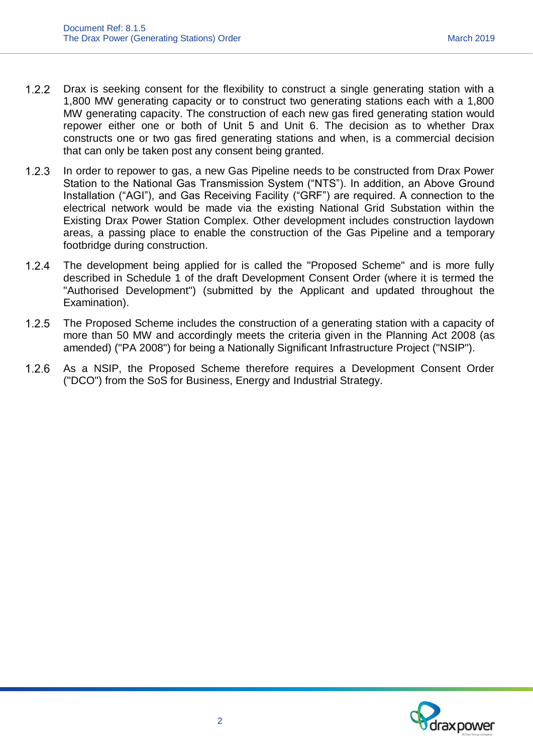- $1.2.2$ Drax is seeking consent for the flexibility to construct a single generating station with a 1,800 MW generating capacity or to construct two generating stations each with a 1,800 MW generating capacity. The construction of each new gas fired generating station would repower either one or both of Unit 5 and Unit 6. The decision as to whether Drax constructs one or two gas fired generating stations and when, is a commercial decision that can only be taken post any consent being granted.
- $1.2.3$ In order to repower to gas, a new Gas Pipeline needs to be constructed from Drax Power Station to the National Gas Transmission System ("NTS"). In addition, an Above Ground Installation ("AGI"), and Gas Receiving Facility ("GRF") are required. A connection to the electrical network would be made via the existing National Grid Substation within the Existing Drax Power Station Complex. Other development includes construction laydown areas, a passing place to enable the construction of the Gas Pipeline and a temporary footbridge during construction.
- $1.2.4$ The development being applied for is called the "Proposed Scheme" and is more fully described in Schedule 1 of the draft Development Consent Order (where it is termed the "Authorised Development") (submitted by the Applicant and updated throughout the Examination).
- $1.2.5$ The Proposed Scheme includes the construction of a generating station with a capacity of more than 50 MW and accordingly meets the criteria given in the Planning Act 2008 (as amended) ("PA 2008") for being a Nationally Significant Infrastructure Project ("NSIP").
- $1.2.6$ As a NSIP, the Proposed Scheme therefore requires a Development Consent Order ("DCO") from the SoS for Business, Energy and Industrial Strategy.

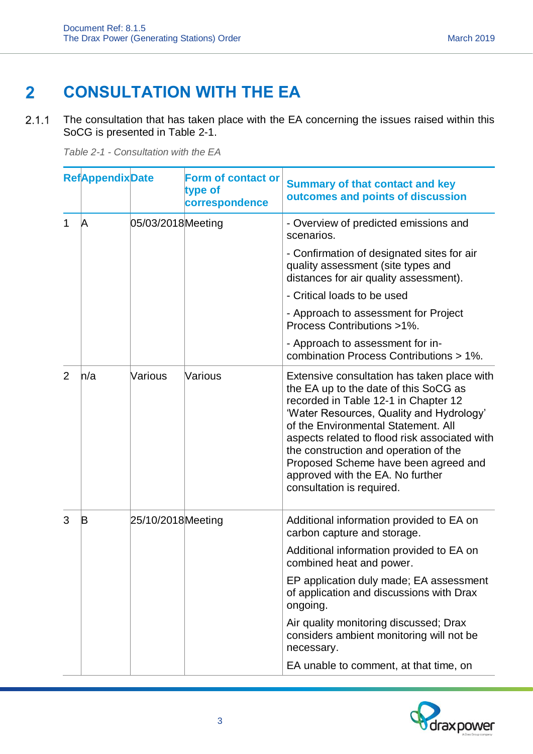#### <span id="page-5-0"></span>**CONSULTATION WITH THE EA**  $\overline{2}$

The consultation that has taken place with the EA concerning the issues raised within this  $2.1.1$ SoCG is presented in Table 2-1.

<span id="page-5-1"></span>*Table 2-1 - Consultation with the EA*

|                | <b>RefAppendixDate</b> |                    | <b>Form of contact or</b><br>type of<br>correspondence | <b>Summary of that contact and key</b><br>outcomes and points of discussion                                                                                                                                                                                                                                                                                                                                        |
|----------------|------------------------|--------------------|--------------------------------------------------------|--------------------------------------------------------------------------------------------------------------------------------------------------------------------------------------------------------------------------------------------------------------------------------------------------------------------------------------------------------------------------------------------------------------------|
|                | A                      | 05/03/2018 Meeting |                                                        | - Overview of predicted emissions and<br>scenarios.                                                                                                                                                                                                                                                                                                                                                                |
|                |                        |                    |                                                        | - Confirmation of designated sites for air<br>quality assessment (site types and<br>distances for air quality assessment).                                                                                                                                                                                                                                                                                         |
|                |                        |                    |                                                        | - Critical loads to be used                                                                                                                                                                                                                                                                                                                                                                                        |
|                |                        |                    |                                                        | - Approach to assessment for Project<br>Process Contributions >1%.                                                                                                                                                                                                                                                                                                                                                 |
|                |                        |                    |                                                        | - Approach to assessment for in-<br>combination Process Contributions > 1%.                                                                                                                                                                                                                                                                                                                                        |
| $\overline{2}$ | n/a                    | Various            | Various                                                | Extensive consultation has taken place with<br>the EA up to the date of this SoCG as<br>recorded in Table 12-1 in Chapter 12<br>'Water Resources, Quality and Hydrology'<br>of the Environmental Statement. All<br>aspects related to flood risk associated with<br>the construction and operation of the<br>Proposed Scheme have been agreed and<br>approved with the EA. No further<br>consultation is required. |
| 3              | B                      | 25/10/2018 Meeting |                                                        | Additional information provided to EA on<br>carbon capture and storage.                                                                                                                                                                                                                                                                                                                                            |
|                |                        |                    |                                                        | Additional information provided to EA on<br>combined heat and power.                                                                                                                                                                                                                                                                                                                                               |
|                |                        |                    |                                                        | EP application duly made; EA assessment<br>of application and discussions with Drax<br>ongoing.                                                                                                                                                                                                                                                                                                                    |
|                |                        |                    |                                                        | Air quality monitoring discussed; Drax<br>considers ambient monitoring will not be<br>necessary.                                                                                                                                                                                                                                                                                                                   |
|                |                        |                    |                                                        | EA unable to comment, at that time, on                                                                                                                                                                                                                                                                                                                                                                             |

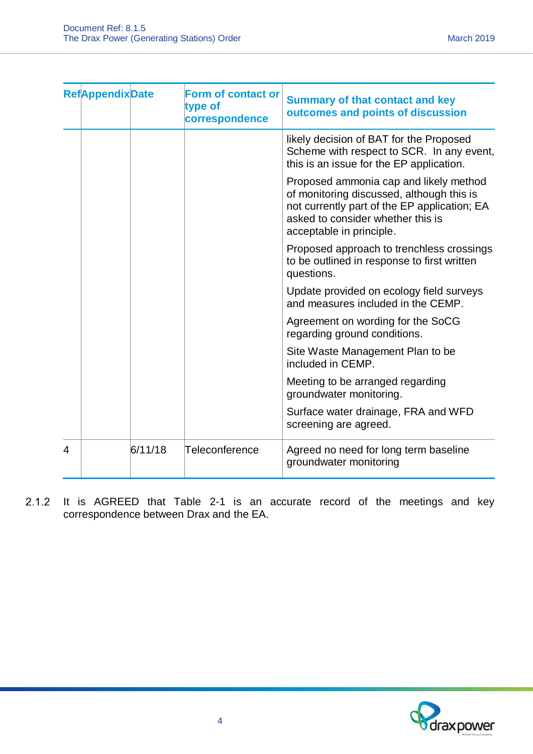|                | <b>RefAppendixDate</b> |         | <b>Form of contact or</b><br>type of<br>correspondence | <b>Summary of that contact and key</b><br>outcomes and points of discussion                                                                                                                          |  |  |
|----------------|------------------------|---------|--------------------------------------------------------|------------------------------------------------------------------------------------------------------------------------------------------------------------------------------------------------------|--|--|
|                |                        |         |                                                        | likely decision of BAT for the Proposed<br>Scheme with respect to SCR. In any event,<br>this is an issue for the EP application.                                                                     |  |  |
|                |                        |         |                                                        | Proposed ammonia cap and likely method<br>of monitoring discussed, although this is<br>not currently part of the EP application; EA<br>asked to consider whether this is<br>acceptable in principle. |  |  |
|                |                        |         |                                                        | Proposed approach to trenchless crossings<br>to be outlined in response to first written<br>questions.                                                                                               |  |  |
|                |                        |         |                                                        | Update provided on ecology field surveys<br>and measures included in the CEMP.                                                                                                                       |  |  |
|                |                        |         |                                                        | Agreement on wording for the SoCG<br>regarding ground conditions.                                                                                                                                    |  |  |
|                |                        |         |                                                        | Site Waste Management Plan to be<br>included in CEMP.                                                                                                                                                |  |  |
|                |                        |         |                                                        | Meeting to be arranged regarding<br>groundwater monitoring.                                                                                                                                          |  |  |
|                |                        |         |                                                        | Surface water drainage, FRA and WFD<br>screening are agreed.                                                                                                                                         |  |  |
| $\overline{4}$ |                        | 6/11/18 | Teleconference                                         | Agreed no need for long term baseline<br>groundwater monitoring                                                                                                                                      |  |  |

 $2.1.2$ It is AGREED that Table 2-1 is an accurate record of the meetings and key correspondence between Drax and the EA.

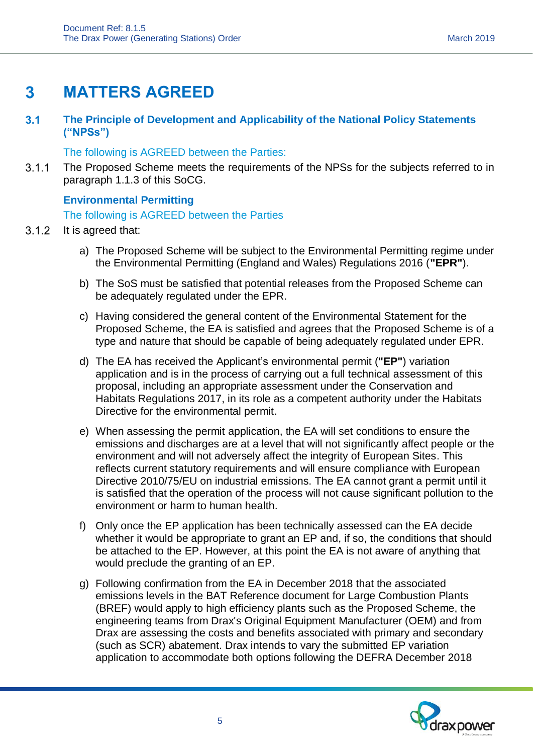#### <span id="page-7-0"></span> $\mathbf{3}$ **MATTERS AGREED**

 $3.1$ **The Principle of Development and Applicability of the National Policy Statements ("NPSs")**

The following is AGREED between the Parties:

 $3.1.1$ The Proposed Scheme meets the requirements of the NPSs for the subjects referred to in paragraph 1.1.3 of this SoCG.

### **Environmental Permitting**

- $3.1.2$ It is agreed that:
	- a) The Proposed Scheme will be subject to the Environmental Permitting regime under the Environmental Permitting (England and Wales) Regulations 2016 (**"EPR"**).
	- b) The SoS must be satisfied that potential releases from the Proposed Scheme can be adequately regulated under the EPR.
	- c) Having considered the general content of the Environmental Statement for the Proposed Scheme, the EA is satisfied and agrees that the Proposed Scheme is of a type and nature that should be capable of being adequately regulated under EPR.
	- d) The EA has received the Applicant's environmental permit (**"EP"**) variation application and is in the process of carrying out a full technical assessment of this proposal, including an appropriate assessment under the Conservation and Habitats Regulations 2017, in its role as a competent authority under the Habitats Directive for the environmental permit.
	- e) When assessing the permit application, the EA will set conditions to ensure the emissions and discharges are at a level that will not significantly affect people or the environment and will not adversely affect the integrity of European Sites. This reflects current statutory requirements and will ensure compliance with European Directive 2010/75/EU on industrial emissions. The EA cannot grant a permit until it is satisfied that the operation of the process will not cause significant pollution to the environment or harm to human health.
	- f) Only once the EP application has been technically assessed can the EA decide whether it would be appropriate to grant an EP and, if so, the conditions that should be attached to the EP. However, at this point the EA is not aware of anything that would preclude the granting of an EP.
	- g) Following confirmation from the EA in December 2018 that the associated emissions levels in the BAT Reference document for Large Combustion Plants (BREF) would apply to high efficiency plants such as the Proposed Scheme, the engineering teams from Drax's Original Equipment Manufacturer (OEM) and from Drax are assessing the costs and benefits associated with primary and secondary (such as SCR) abatement. Drax intends to vary the submitted EP variation application to accommodate both options following the DEFRA December 2018

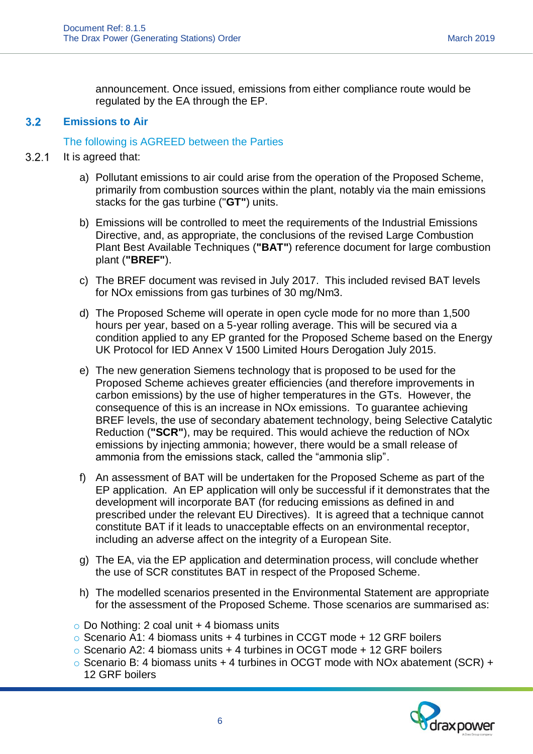announcement. Once issued, emissions from either compliance route would be regulated by the EA through the EP.

#### $3.2$ **Emissions to Air**

### The following is AGREED between the Parties

#### $3.2.1$ It is agreed that:

- a) Pollutant emissions to air could arise from the operation of the Proposed Scheme, primarily from combustion sources within the plant, notably via the main emissions stacks for the gas turbine ("**GT"**) units.
- b) Emissions will be controlled to meet the requirements of the Industrial Emissions Directive, and, as appropriate, the conclusions of the revised Large Combustion Plant Best Available Techniques (**"BAT"**) reference document for large combustion plant (**"BREF"**).
- c) The BREF document was revised in July 2017. This included revised BAT levels for NOx emissions from gas turbines of 30 mg/Nm3.
- d) The Proposed Scheme will operate in open cycle mode for no more than 1,500 hours per year, based on a 5-year rolling average. This will be secured via a condition applied to any EP granted for the Proposed Scheme based on the Energy UK Protocol for IED Annex V 1500 Limited Hours Derogation July 2015.
- e) The new generation Siemens technology that is proposed to be used for the Proposed Scheme achieves greater efficiencies (and therefore improvements in carbon emissions) by the use of higher temperatures in the GTs. However, the consequence of this is an increase in NOx emissions. To guarantee achieving BREF levels, the use of secondary abatement technology, being Selective Catalytic Reduction (**"SCR"**), may be required. This would achieve the reduction of NOx emissions by injecting ammonia; however, there would be a small release of ammonia from the emissions stack, called the "ammonia slip".
- f) An assessment of BAT will be undertaken for the Proposed Scheme as part of the EP application. An EP application will only be successful if it demonstrates that the development will incorporate BAT (for reducing emissions as defined in and prescribed under the relevant EU Directives). It is agreed that a technique cannot constitute BAT if it leads to unacceptable effects on an environmental receptor, including an adverse affect on the integrity of a European Site.
- g) The EA, via the EP application and determination process, will conclude whether the use of SCR constitutes BAT in respect of the Proposed Scheme.
- h) The modelled scenarios presented in the Environmental Statement are appropriate for the assessment of the Proposed Scheme. Those scenarios are summarised as:
- $\circ$  Do Nothing: 2 coal unit + 4 biomass units
- o Scenario A1: 4 biomass units + 4 turbines in CCGT mode + 12 GRF boilers
- o Scenario A2: 4 biomass units + 4 turbines in OCGT mode + 12 GRF boilers
- $\circ$  Scenario B: 4 biomass units + 4 turbines in OCGT mode with NOx abatement (SCR) + 12 GRF boilers

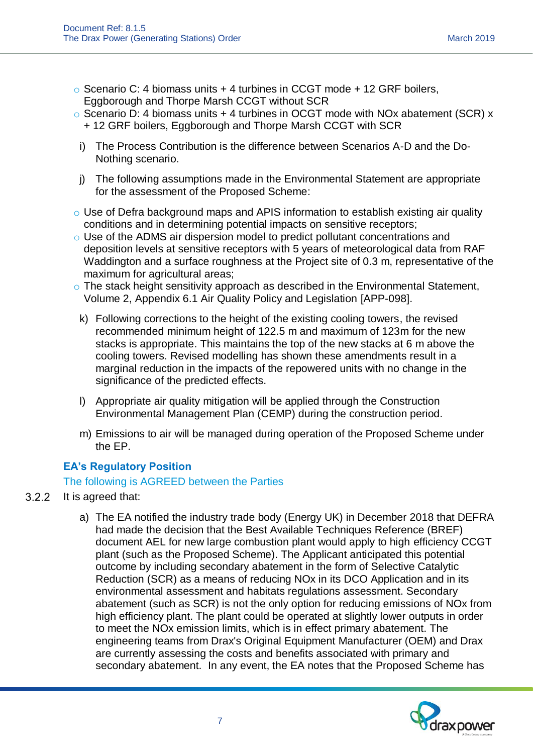- $\circ$  Scenario C: 4 biomass units + 4 turbines in CCGT mode + 12 GRF boilers, Eggborough and Thorpe Marsh CCGT without SCR
- $\circ$  Scenario D: 4 biomass units + 4 turbines in OCGT mode with NOx abatement (SCR) x + 12 GRF boilers, Eggborough and Thorpe Marsh CCGT with SCR
	- i) The Process Contribution is the difference between Scenarios A-D and the Do-Nothing scenario.
- j) The following assumptions made in the Environmental Statement are appropriate for the assessment of the Proposed Scheme:
- o Use of Defra background maps and APIS information to establish existing air quality conditions and in determining potential impacts on sensitive receptors;
- o Use of the ADMS air dispersion model to predict pollutant concentrations and deposition levels at sensitive receptors with 5 years of meteorological data from RAF Waddington and a surface roughness at the Project site of 0.3 m, representative of the maximum for agricultural areas;
- o The stack height sensitivity approach as described in the Environmental Statement, Volume 2, Appendix 6.1 Air Quality Policy and Legislation [APP-098].
	- k) Following corrections to the height of the existing cooling towers, the revised recommended minimum height of 122.5 m and maximum of 123m for the new stacks is appropriate. This maintains the top of the new stacks at 6 m above the cooling towers. Revised modelling has shown these amendments result in a marginal reduction in the impacts of the repowered units with no change in the significance of the predicted effects.
- l) Appropriate air quality mitigation will be applied through the Construction Environmental Management Plan (CEMP) during the construction period.
- m) Emissions to air will be managed during operation of the Proposed Scheme under the EP.

## **EA's Regulatory Position**

- $3.2.2$ It is agreed that:
	- a) The EA notified the industry trade body (Energy UK) in December 2018 that DEFRA had made the decision that the Best Available Techniques Reference (BREF) document AEL for new large combustion plant would apply to high efficiency CCGT plant (such as the Proposed Scheme). The Applicant anticipated this potential outcome by including secondary abatement in the form of Selective Catalytic Reduction (SCR) as a means of reducing NOx in its DCO Application and in its environmental assessment and habitats regulations assessment. Secondary abatement (such as SCR) is not the only option for reducing emissions of NOx from high efficiency plant. The plant could be operated at slightly lower outputs in order to meet the NOx emission limits, which is in effect primary abatement. The engineering teams from Drax's Original Equipment Manufacturer (OEM) and Drax are currently assessing the costs and benefits associated with primary and secondary abatement. In any event, the EA notes that the Proposed Scheme has

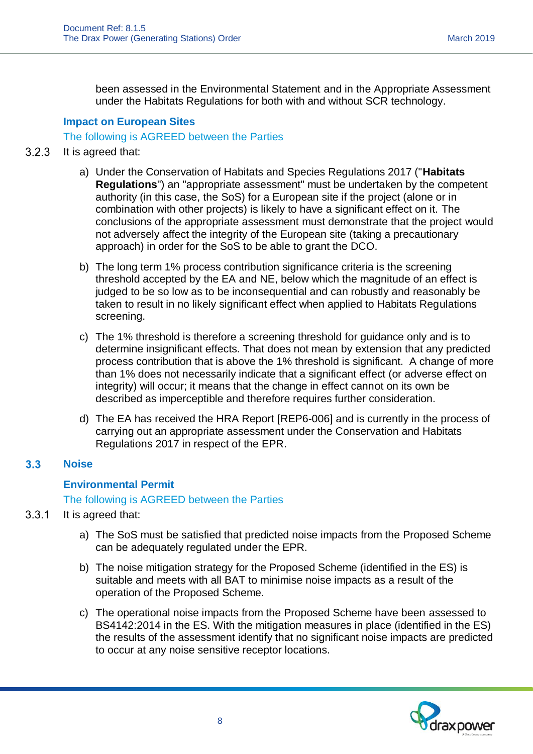been assessed in the Environmental Statement and in the Appropriate Assessment under the Habitats Regulations for both with and without SCR technology.

## **Impact on European Sites**

The following is AGREED between the Parties

- $3.2.3$ It is agreed that:
	- a) Under the Conservation of Habitats and Species Regulations 2017 ("**Habitats Regulations**") an "appropriate assessment" must be undertaken by the competent authority (in this case, the SoS) for a European site if the project (alone or in combination with other projects) is likely to have a significant effect on it. The conclusions of the appropriate assessment must demonstrate that the project would not adversely affect the integrity of the European site (taking a precautionary approach) in order for the SoS to be able to grant the DCO.
	- b) The long term 1% process contribution significance criteria is the screening threshold accepted by the EA and NE, below which the magnitude of an effect is judged to be so low as to be inconsequential and can robustly and reasonably be taken to result in no likely significant effect when applied to Habitats Regulations screening.
	- c) The 1% threshold is therefore a screening threshold for guidance only and is to determine insignificant effects. That does not mean by extension that any predicted process contribution that is above the 1% threshold is significant. A change of more than 1% does not necessarily indicate that a significant effect (or adverse effect on integrity) will occur; it means that the change in effect cannot on its own be described as imperceptible and therefore requires further consideration.
	- d) The EA has received the HRA Report [REP6-006] and is currently in the process of carrying out an appropriate assessment under the Conservation and Habitats Regulations 2017 in respect of the EPR.

#### $3.3$ **Noise**

## **Environmental Permit**

- $3.3.1$ It is agreed that:
	- a) The SoS must be satisfied that predicted noise impacts from the Proposed Scheme can be adequately regulated under the EPR.
	- b) The noise mitigation strategy for the Proposed Scheme (identified in the ES) is suitable and meets with all BAT to minimise noise impacts as a result of the operation of the Proposed Scheme.
	- c) The operational noise impacts from the Proposed Scheme have been assessed to BS4142:2014 in the ES. With the mitigation measures in place (identified in the ES) the results of the assessment identify that no significant noise impacts are predicted to occur at any noise sensitive receptor locations.

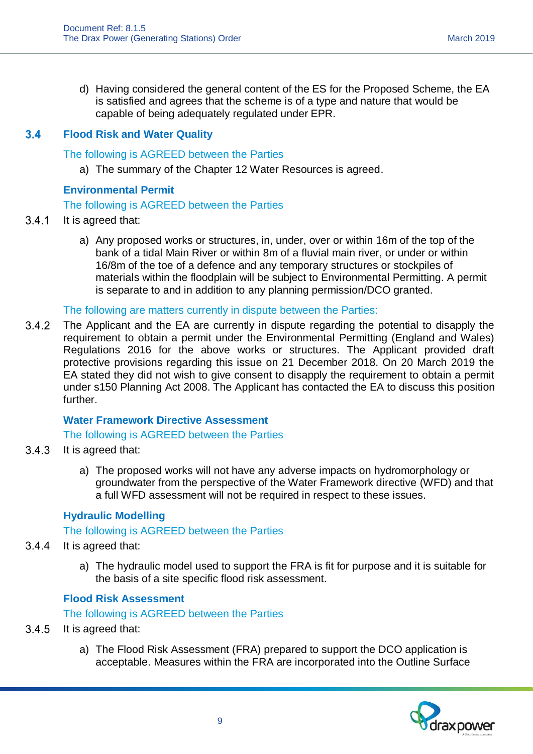d) Having considered the general content of the ES for the Proposed Scheme, the EA is satisfied and agrees that the scheme is of a type and nature that would be capable of being adequately regulated under EPR.

#### $3.4$ **Flood Risk and Water Quality**

#### The following is AGREED between the Parties

a) The summary of the Chapter 12 Water Resources is agreed.

### **Environmental Permit**

### The following is AGREED between the Parties

- $3.4.1$ It is agreed that:
	- a) Any proposed works or structures, in, under, over or within 16m of the top of the bank of a tidal Main River or within 8m of a fluvial main river, or under or within 16/8m of the toe of a defence and any temporary structures or stockpiles of materials within the floodplain will be subject to Environmental Permitting. A permit is separate to and in addition to any planning permission/DCO granted.

### The following are matters currently in dispute between the Parties:

 $3.4.2$ The Applicant and the EA are currently in dispute regarding the potential to disapply the requirement to obtain a permit under the Environmental Permitting (England and Wales) Regulations 2016 for the above works or structures. The Applicant provided draft protective provisions regarding this issue on 21 December 2018. On 20 March 2019 the EA stated they did not wish to give consent to disapply the requirement to obtain a permit under s150 Planning Act 2008. The Applicant has contacted the EA to discuss this position further.

## **Water Framework Directive Assessment**

### The following is AGREED between the Parties

- 343 It is agreed that:
	- a) The proposed works will not have any adverse impacts on hydromorphology or groundwater from the perspective of the Water Framework directive (WFD) and that a full WFD assessment will not be required in respect to these issues.

## **Hydraulic Modelling**

### The following is AGREED between the Parties

- $3.4.4$ It is agreed that:
	- a) The hydraulic model used to support the FRA is fit for purpose and it is suitable for the basis of a site specific flood risk assessment.

## **Flood Risk Assessment**

- 345 It is agreed that:
	- a) The Flood Risk Assessment (FRA) prepared to support the DCO application is acceptable. Measures within the FRA are incorporated into the Outline Surface

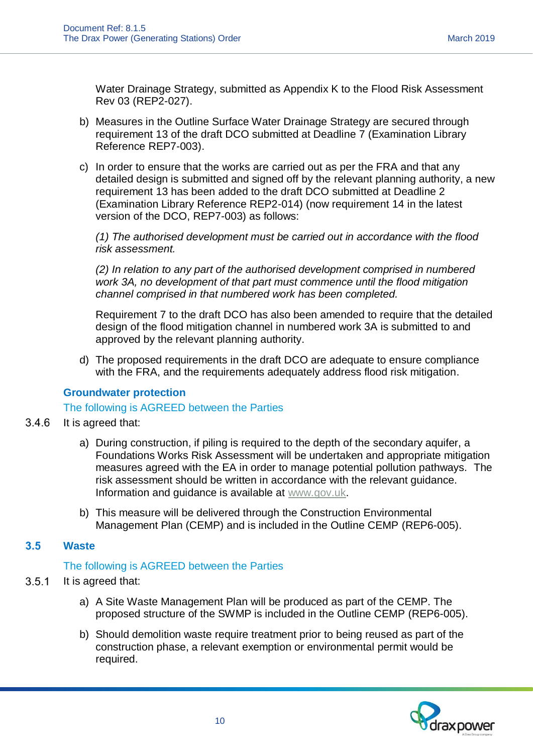Water Drainage Strategy, submitted as Appendix K to the Flood Risk Assessment Rev 03 (REP2-027).

- b) Measures in the Outline Surface Water Drainage Strategy are secured through requirement 13 of the draft DCO submitted at Deadline 7 (Examination Library Reference REP7-003).
- c) In order to ensure that the works are carried out as per the FRA and that any detailed design is submitted and signed off by the relevant planning authority, a new requirement 13 has been added to the draft DCO submitted at Deadline 2 (Examination Library Reference REP2-014) (now requirement 14 in the latest version of the DCO, REP7-003) as follows:

*(1) The authorised development must be carried out in accordance with the flood risk assessment.* 

*(2) In relation to any part of the authorised development comprised in numbered work 3A, no development of that part must commence until the flood mitigation channel comprised in that numbered work has been completed.*

Requirement 7 to the draft DCO has also been amended to require that the detailed design of the flood mitigation channel in numbered work 3A is submitted to and approved by the relevant planning authority.

d) The proposed requirements in the draft DCO are adequate to ensure compliance with the FRA, and the requirements adequately address flood risk mitigation.

### **Groundwater protection**

### The following is AGREED between the Parties

#### $346$ It is agreed that:

- a) During construction, if piling is required to the depth of the secondary aquifer, a Foundations Works Risk Assessment will be undertaken and appropriate mitigation measures agreed with the EA in order to manage potential pollution pathways. The risk assessment should be written in accordance with the relevant guidance. Information and guidance is available at [www.gov.uk.](http://www.gov.uk/)
- b) This measure will be delivered through the Construction Environmental Management Plan (CEMP) and is included in the Outline CEMP (REP6-005).

#### $3.5$ **Waste**

- $3.5.1$ It is agreed that:
	- a) A Site Waste Management Plan will be produced as part of the CEMP. The proposed structure of the SWMP is included in the Outline CEMP (REP6-005).
	- b) Should demolition waste require treatment prior to being reused as part of the construction phase, a relevant exemption or environmental permit would be required.

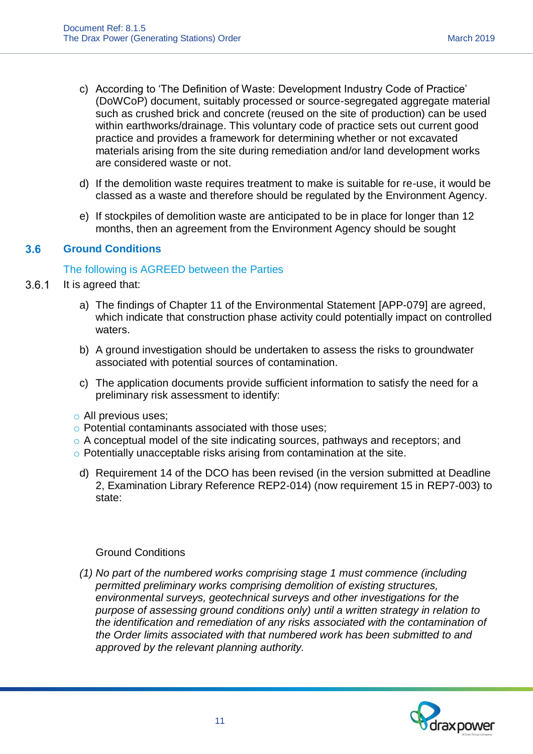- c) According to 'The Definition of Waste: Development Industry Code of Practice' (DoWCoP) document, suitably processed or source-segregated aggregate material such as crushed brick and concrete (reused on the site of production) can be used within earthworks/drainage. This voluntary code of practice sets out current good practice and provides a framework for determining whether or not excavated materials arising from the site during remediation and/or land development works are considered waste or not.
- d) If the demolition waste requires treatment to make is suitable for re-use, it would be classed as a waste and therefore should be regulated by the Environment Agency.
- e) If stockpiles of demolition waste are anticipated to be in place for longer than 12 months, then an agreement from the Environment Agency should be sought

#### $3.6$ **Ground Conditions**

## The following is AGREED between the Parties

- $3.6.1$ It is agreed that:
	- a) The findings of Chapter 11 of the Environmental Statement [APP-079] are agreed, which indicate that construction phase activity could potentially impact on controlled waters.
	- b) A ground investigation should be undertaken to assess the risks to groundwater associated with potential sources of contamination.
	- c) The application documents provide sufficient information to satisfy the need for a preliminary risk assessment to identify:
	- o All previous uses;
	- o Potential contaminants associated with those uses;
	- o A conceptual model of the site indicating sources, pathways and receptors; and
	- o Potentially unacceptable risks arising from contamination at the site.
		- d) Requirement 14 of the DCO has been revised (in the version submitted at Deadline 2, Examination Library Reference REP2-014) (now requirement 15 in REP7-003) to state:

### Ground Conditions

*(1) No part of the numbered works comprising stage 1 must commence (including permitted preliminary works comprising demolition of existing structures, environmental surveys, geotechnical surveys and other investigations for the purpose of assessing ground conditions only) until a written strategy in relation to the identification and remediation of any risks associated with the contamination of the Order limits associated with that numbered work has been submitted to and approved by the relevant planning authority.*

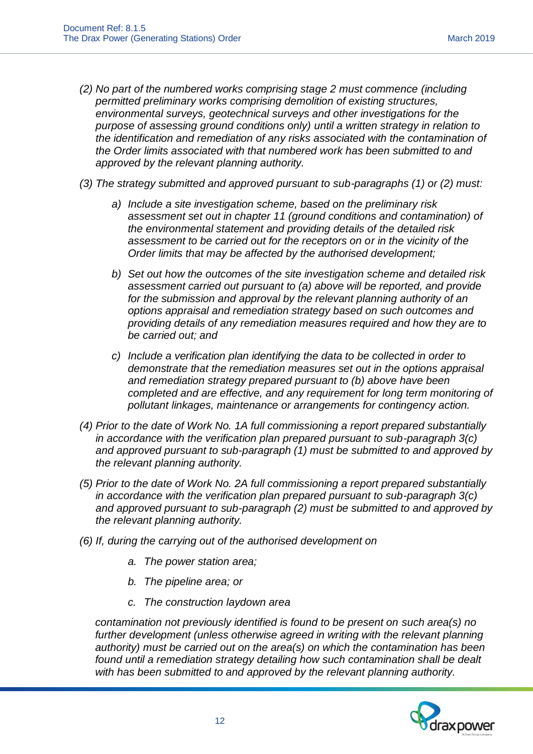- *(2) No part of the numbered works comprising stage 2 must commence (including permitted preliminary works comprising demolition of existing structures, environmental surveys, geotechnical surveys and other investigations for the purpose of assessing ground conditions only) until a written strategy in relation to the identification and remediation of any risks associated with the contamination of the Order limits associated with that numbered work has been submitted to and approved by the relevant planning authority.*
- *(3) The strategy submitted and approved pursuant to sub-paragraphs (1) or (2) must:*
	- *a) Include a site investigation scheme, based on the preliminary risk assessment set out in chapter 11 (ground conditions and contamination) of the environmental statement and providing details of the detailed risk assessment to be carried out for the receptors on or in the vicinity of the Order limits that may be affected by the authorised development;*
	- *b) Set out how the outcomes of the site investigation scheme and detailed risk assessment carried out pursuant to (a) above will be reported, and provide for the submission and approval by the relevant planning authority of an options appraisal and remediation strategy based on such outcomes and providing details of any remediation measures required and how they are to be carried out; and*
	- *c) Include a verification plan identifying the data to be collected in order to demonstrate that the remediation measures set out in the options appraisal and remediation strategy prepared pursuant to (b) above have been completed and are effective, and any requirement for long term monitoring of pollutant linkages, maintenance or arrangements for contingency action.*
- *(4) Prior to the date of Work No. 1A full commissioning a report prepared substantially in accordance with the verification plan prepared pursuant to sub-paragraph 3(c) and approved pursuant to sub-paragraph (1) must be submitted to and approved by the relevant planning authority.*
- *(5) Prior to the date of Work No. 2A full commissioning a report prepared substantially in accordance with the verification plan prepared pursuant to sub-paragraph 3(c) and approved pursuant to sub-paragraph (2) must be submitted to and approved by the relevant planning authority.*
- *(6) If, during the carrying out of the authorised development on*
	- *a. The power station area;*
	- *b. The pipeline area; or*
	- *c. The construction laydown area*

*contamination not previously identified is found to be present on such area(s) no*  further development (unless otherwise agreed in writing with the relevant planning *authority) must be carried out on the area(s) on which the contamination has been found until a remediation strategy detailing how such contamination shall be dealt with has been submitted to and approved by the relevant planning authority.* 

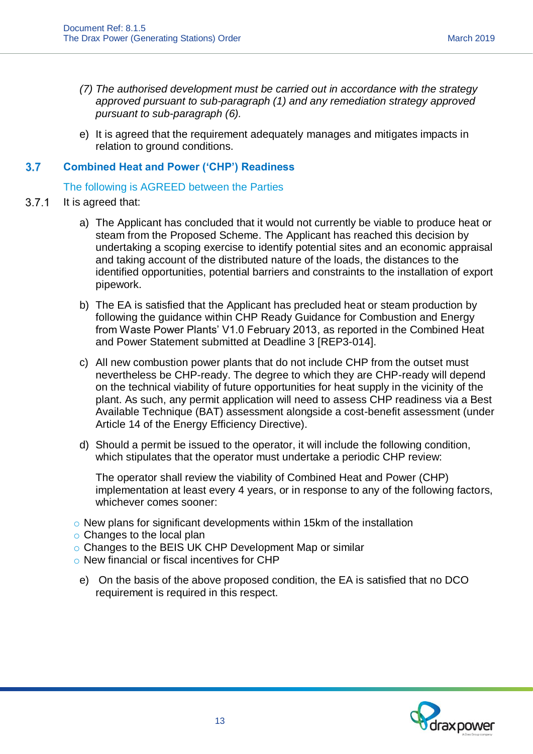- *(7) The authorised development must be carried out in accordance with the strategy approved pursuant to sub-paragraph (1) and any remediation strategy approved pursuant to sub-paragraph (6).*
- e) It is agreed that the requirement adequately manages and mitigates impacts in relation to ground conditions.

#### $3.7$ **Combined Heat and Power ('CHP') Readiness**

## The following is AGREED between the Parties

- $3.7.1$ It is agreed that:
	- a) The Applicant has concluded that it would not currently be viable to produce heat or steam from the Proposed Scheme. The Applicant has reached this decision by undertaking a scoping exercise to identify potential sites and an economic appraisal and taking account of the distributed nature of the loads, the distances to the identified opportunities, potential barriers and constraints to the installation of export pipework.
	- b) The EA is satisfied that the Applicant has precluded heat or steam production by following the guidance within CHP Ready Guidance for Combustion and Energy from Waste Power Plants' V1.0 February 2013, as reported in the Combined Heat and Power Statement submitted at Deadline 3 [REP3-014].
	- c) All new combustion power plants that do not include CHP from the outset must nevertheless be CHP-ready. The degree to which they are CHP-ready will depend on the technical viability of future opportunities for heat supply in the vicinity of the plant. As such, any permit application will need to assess CHP readiness via a Best Available Technique (BAT) assessment alongside a cost-benefit assessment (under Article 14 of the Energy Efficiency Directive).
	- d) Should a permit be issued to the operator, it will include the following condition, which stipulates that the operator must undertake a periodic CHP review:

The operator shall review the viability of Combined Heat and Power (CHP) implementation at least every 4 years, or in response to any of the following factors, whichever comes sooner:

- o New plans for significant developments within 15km of the installation
- o Changes to the local plan
- o Changes to the BEIS UK CHP Development Map or similar
- o New financial or fiscal incentives for CHP
- e) On the basis of the above proposed condition, the EA is satisfied that no DCO requirement is required in this respect.

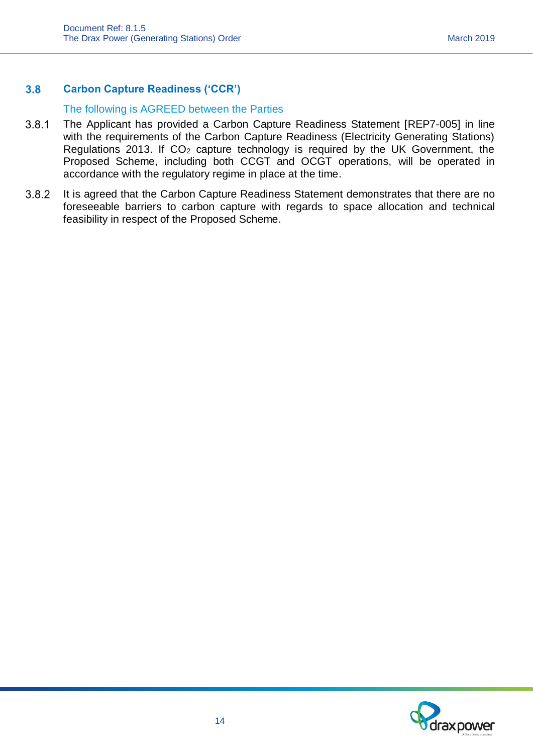#### $3.8$ **Carbon Capture Readiness ('CCR')**

- $3.8.1$ The Applicant has provided a Carbon Capture Readiness Statement [REP7-005] in line with the requirements of the Carbon Capture Readiness (Electricity Generating Stations) Regulations 2013. If  $CO<sub>2</sub>$  capture technology is required by the UK Government, the Proposed Scheme, including both CCGT and OCGT operations, will be operated in accordance with the regulatory regime in place at the time.
- $3.8.2$ It is agreed that the Carbon Capture Readiness Statement demonstrates that there are no foreseeable barriers to carbon capture with regards to space allocation and technical feasibility in respect of the Proposed Scheme.

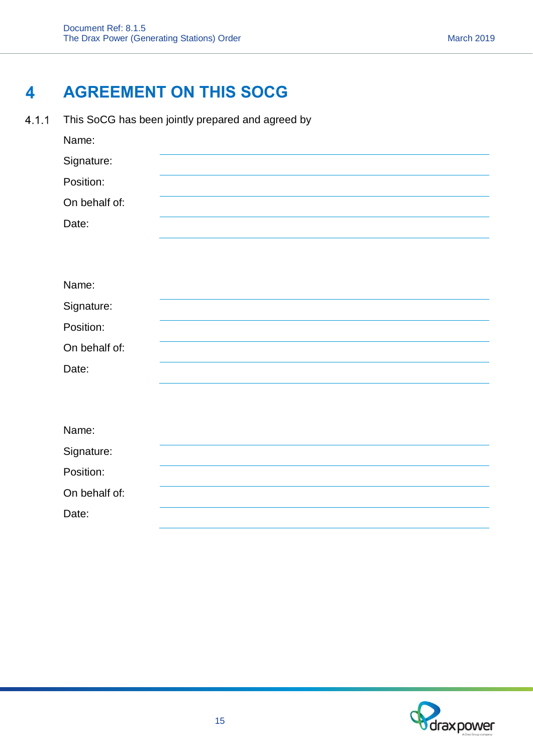#### <span id="page-17-0"></span> $\overline{\mathbf{4}}$ **AGREEMENT ON THIS SOCG**

 $4.1.1$ This SoCG has been jointly prepared and agreed by

| Name:         |  |  |  |
|---------------|--|--|--|
| Signature:    |  |  |  |
| Position:     |  |  |  |
| On behalf of: |  |  |  |
| Date:         |  |  |  |
|               |  |  |  |
|               |  |  |  |
| Name:         |  |  |  |
| Signature:    |  |  |  |
| Position:     |  |  |  |
| On behalf of: |  |  |  |
| Date:         |  |  |  |
|               |  |  |  |
|               |  |  |  |
| Name:         |  |  |  |
| Signature:    |  |  |  |
| Position:     |  |  |  |
| On behalf of: |  |  |  |
| Date:         |  |  |  |